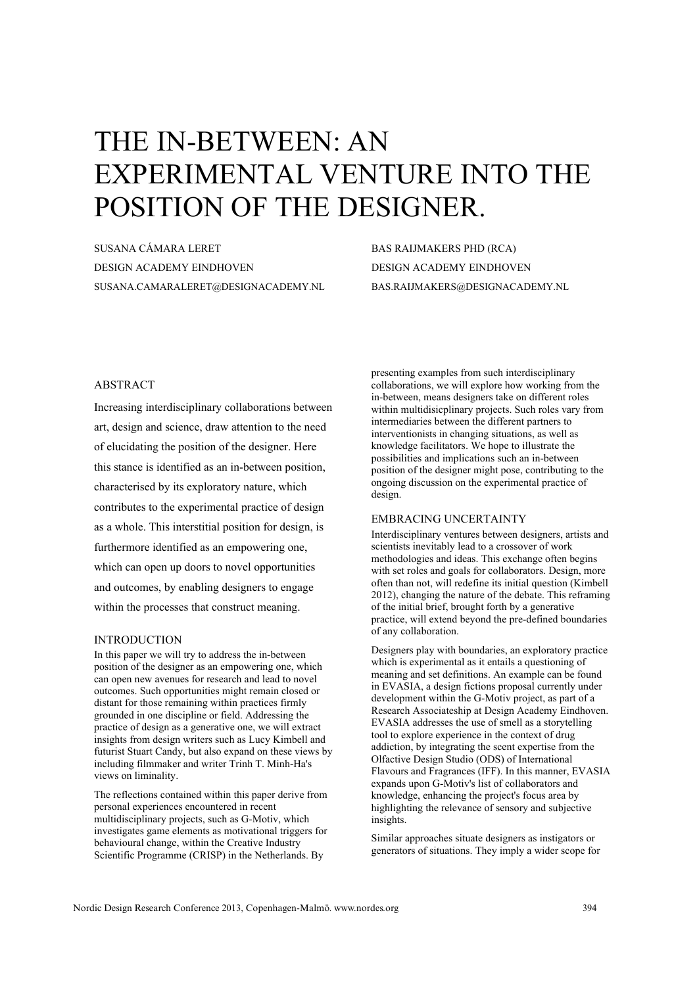# THE IN-BETWEEN: AN EXPERIMENTAL VENTURE INTO THE POSITION OF THE DESIGNER.

SUSANA CÁMARA LERET DESIGN ACADEMY EINDHOVEN SUSANA.CAMARALERET@DESIGNACADEMY.NL BAS RAIJMAKERS PHD (RCA) DESIGN ACADEMY EINDHOVEN BAS.RAIJMAKERS@DESIGNACADEMY.NL

# ABSTRACT

Increasing interdisciplinary collaborations between art, design and science, draw attention to the need of elucidating the position of the designer. Here this stance is identified as an in-between position, characterised by its exploratory nature, which contributes to the experimental practice of design as a whole. This interstitial position for design, is furthermore identified as an empowering one, which can open up doors to novel opportunities and outcomes, by enabling designers to engage within the processes that construct meaning.

#### INTRODUCTION

In this paper we will try to address the in-between position of the designer as an empowering one, which can open new avenues for research and lead to novel outcomes. Such opportunities might remain closed or distant for those remaining within practices firmly grounded in one discipline or field. Addressing the practice of design as a generative one, we will extract insights from design writers such as Lucy Kimbell and futurist Stuart Candy, but also expand on these views by including filmmaker and writer Trinh T. Minh-Ha's views on liminality.

The reflections contained within this paper derive from personal experiences encountered in recent multidisciplinary projects, such as G-Motiv, which investigates game elements as motivational triggers for behavioural change, within the Creative Industry Scientific Programme (CRISP) in the Netherlands. By

presenting examples from such interdisciplinary collaborations, we will explore how working from the in-between, means designers take on different roles within multidisicplinary projects. Such roles vary from intermediaries between the different partners to interventionists in changing situations, as well as knowledge facilitators. We hope to illustrate the possibilities and implications such an in-between position of the designer might pose, contributing to the ongoing discussion on the experimental practice of design.

# EMBRACING UNCERTAINTY

Interdisciplinary ventures between designers, artists and scientists inevitably lead to a crossover of work methodologies and ideas. This exchange often begins with set roles and goals for collaborators. Design, more often than not, will redefine its initial question (Kimbell 2012), changing the nature of the debate. This reframing of the initial brief, brought forth by a generative practice, will extend beyond the pre-defined boundaries of any collaboration.

Designers play with boundaries, an exploratory practice which is experimental as it entails a questioning of meaning and set definitions. An example can be found in EVASIA, a design fictions proposal currently under development within the G-Motiv project, as part of a Research Associateship at Design Academy Eindhoven. EVASIA addresses the use of smell as a storytelling tool to explore experience in the context of drug addiction, by integrating the scent expertise from the Olfactive Design Studio (ODS) of International Flavours and Fragrances (IFF). In this manner, EVASIA expands upon G-Motiv's list of collaborators and knowledge, enhancing the project's focus area by highlighting the relevance of sensory and subjective insights.

Similar approaches situate designers as instigators or generators of situations. They imply a wider scope for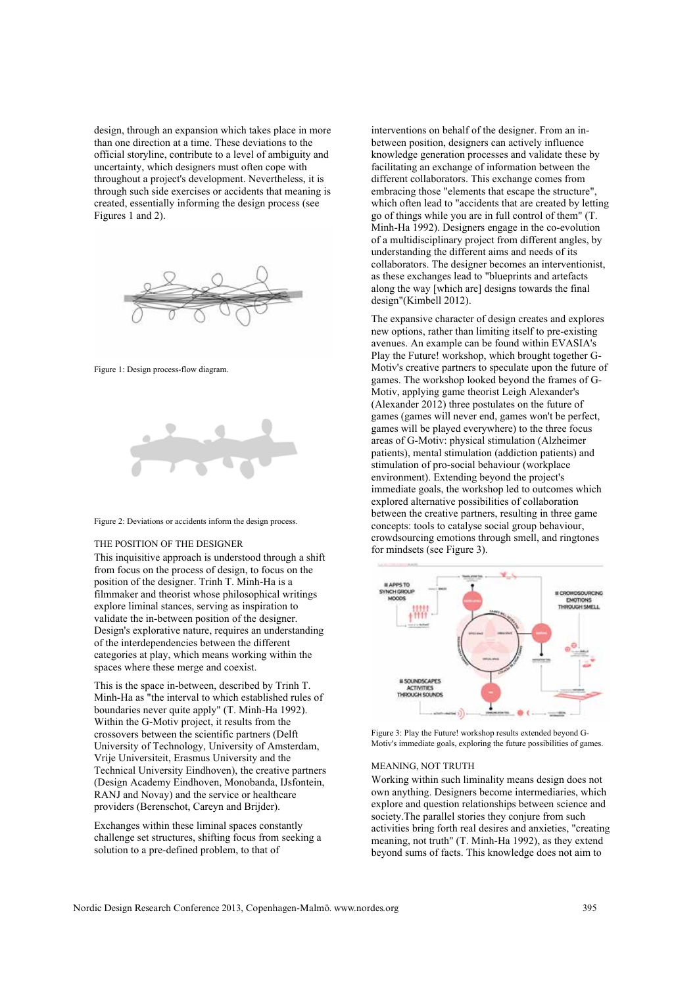design, through an expansion which takes place in more than one direction at a time. These deviations to the official storyline, contribute to a level of ambiguity and uncertainty, which designers must often cope with throughout a project's development. Nevertheless, it is through such side exercises or accidents that meaning is created, essentially informing the design process (see Figures 1 and 2).



Figure 1: Design process-flow diagram.





#### THE POSITION OF THE DESIGNER

This inquisitive approach is understood through a shift from focus on the process of design, to focus on the position of the designer. Trinh T. Minh-Ha is a filmmaker and theorist whose philosophical writings explore liminal stances, serving as inspiration to validate the in-between position of the designer. Design's explorative nature, requires an understanding of the interdependencies between the different categories at play, which means working within the spaces where these merge and coexist.

This is the space in-between, described by Trinh T. Minh-Ha as "the interval to which established rules of boundaries never quite apply" (T. Minh-Ha 1992). Within the G-Motiv project, it results from the crossovers between the scientific partners (Delft University of Technology, University of Amsterdam, Vrije Universiteit, Erasmus University and the Technical University Eindhoven), the creative partners (Design Academy Eindhoven, Monobanda, IJsfontein, RANJ and Novay) and the service or healthcare providers (Berenschot, Careyn and Brijder).

Exchanges within these liminal spaces constantly challenge set structures, shifting focus from seeking a solution to a pre-defined problem, to that of

interventions on behalf of the designer. From an inbetween position, designers can actively influence knowledge generation processes and validate these by facilitating an exchange of information between the different collaborators. This exchange comes from embracing those "elements that escape the structure", which often lead to "accidents that are created by letting go of things while you are in full control of them" (T. Minh-Ha 1992). Designers engage in the co-evolution of a multidisciplinary project from different angles, by understanding the different aims and needs of its collaborators. The designer becomes an interventionist, as these exchanges lead to "blueprints and artefacts along the way [which are] designs towards the final design"(Kimbell 2012).

The expansive character of design creates and explores new options, rather than limiting itself to pre-existing avenues. An example can be found within EVASIA's Play the Future! workshop, which brought together G-Motiv's creative partners to speculate upon the future of games. The workshop looked beyond the frames of G-Motiv, applying game theorist Leigh Alexander's (Alexander 2012) three postulates on the future of games (games will never end, games won't be perfect, games will be played everywhere) to the three focus areas of G-Motiv: physical stimulation (Alzheimer patients), mental stimulation (addiction patients) and stimulation of pro-social behaviour (workplace environment). Extending beyond the project's immediate goals, the workshop led to outcomes which explored alternative possibilities of collaboration between the creative partners, resulting in three game concepts: tools to catalyse social group behaviour, crowdsourcing emotions through smell, and ringtones for mindsets (see Figure 3).



Figure 3: Play the Future! workshop results extended beyond G-Motiv's immediate goals, exploring the future possibilities of games.

#### MEANING, NOT TRUTH

Working within such liminality means design does not own anything. Designers become intermediaries, which explore and question relationships between science and society.The parallel stories they conjure from such activities bring forth real desires and anxieties, "creating meaning, not truth" (T. Minh-Ha 1992), as they extend beyond sums of facts. This knowledge does not aim to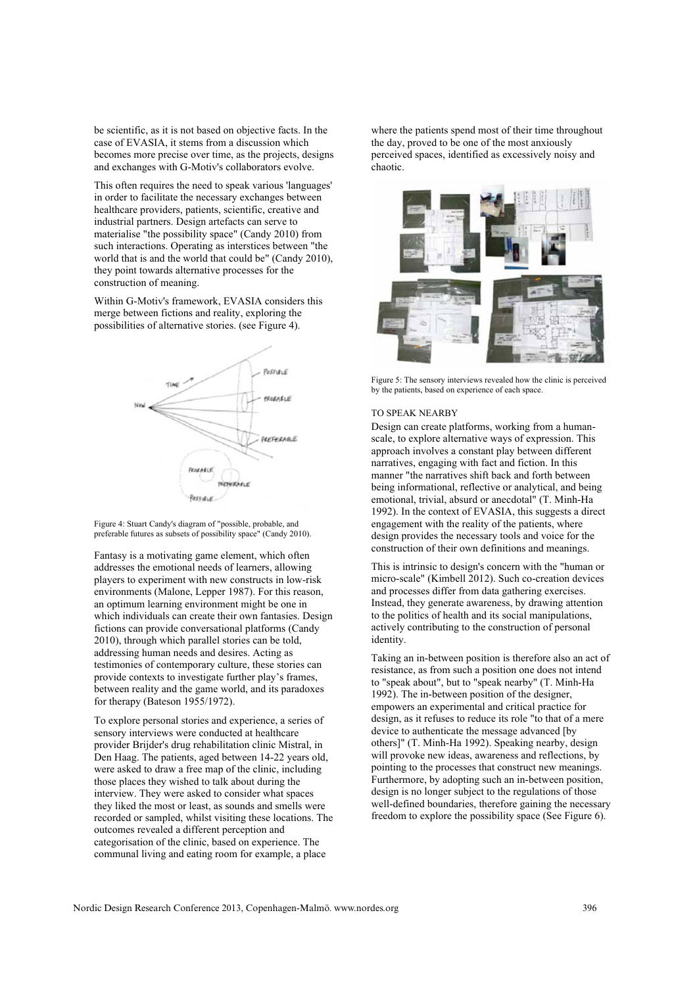be scientific, as it is not based on objective facts. In the case of EVASIA, it stems from a discussion which becomes more precise over time, as the projects, designs and exchanges with G-Motiv's collaborators evolve.

This often requires the need to speak various 'languages' in order to facilitate the necessary exchanges between healthcare providers, patients, scientific, creative and industrial partners. Design artefacts can serve to materialise "the possibility space" (Candy 2010) from such interactions. Operating as interstices between "the world that is and the world that could be" (Candy 2010), they point towards alternative processes for the construction of meaning.

Within G-Motiv's framework, EVASIA considers this merge between fictions and reality, exploring the possibilities of alternative stories. (see Figure 4).



Figure 4: Stuart Candy's diagram of "possible, probable, and preferable futures as subsets of possibility space" (Candy 2010).

Fantasy is a motivating game element, which often addresses the emotional needs of learners, allowing players to experiment with new constructs in low-risk environments (Malone, Lepper 1987). For this reason, an optimum learning environment might be one in which individuals can create their own fantasies. Design fictions can provide conversational platforms (Candy 2010), through which parallel stories can be told, addressing human needs and desires. Acting as testimonies of contemporary culture, these stories can provide contexts to investigate further play's frames, between reality and the game world, and its paradoxes for therapy (Bateson 1955/1972).

To explore personal stories and experience, a series of sensory interviews were conducted at healthcare provider Brijder's drug rehabilitation clinic Mistral, in Den Haag. The patients, aged between 14-22 years old, were asked to draw a free map of the clinic, including those places they wished to talk about during the interview. They were asked to consider what spaces they liked the most or least, as sounds and smells were recorded or sampled, whilst visiting these locations. The outcomes revealed a different perception and categorisation of the clinic, based on experience. The communal living and eating room for example, a place

where the patients spend most of their time throughout the day, proved to be one of the most anxiously perceived spaces, identified as excessively noisy and chaotic.



Figure 5: The sensory interviews revealed how the clinic is perceived by the patients, based on experience of each space.

### TO SPEAK NEARBY

Design can create platforms, working from a humanscale, to explore alternative ways of expression. This approach involves a constant play between different narratives, engaging with fact and fiction. In this manner "the narratives shift back and forth between being informational, reflective or analytical, and being emotional, trivial, absurd or anecdotal" (T. Minh-Ha 1992). In the context of EVASIA, this suggests a direct engagement with the reality of the patients, where design provides the necessary tools and voice for the construction of their own definitions and meanings.

This is intrinsic to design's concern with the "human or micro-scale" (Kimbell 2012). Such co-creation devices and processes differ from data gathering exercises. Instead, they generate awareness, by drawing attention to the politics of health and its social manipulations, actively contributing to the construction of personal identity.

Taking an in-between position is therefore also an act of resistance, as from such a position one does not intend to "speak about", but to "speak nearby" (T. Minh-Ha 1992). The in-between position of the designer, empowers an experimental and critical practice for design, as it refuses to reduce its role "to that of a mere device to authenticate the message advanced [by others]" (T. Minh-Ha 1992). Speaking nearby, design will provoke new ideas, awareness and reflections, by pointing to the processes that construct new meanings. Furthermore, by adopting such an in-between position, design is no longer subject to the regulations of those well-defined boundaries, therefore gaining the necessary freedom to explore the possibility space (See Figure 6).